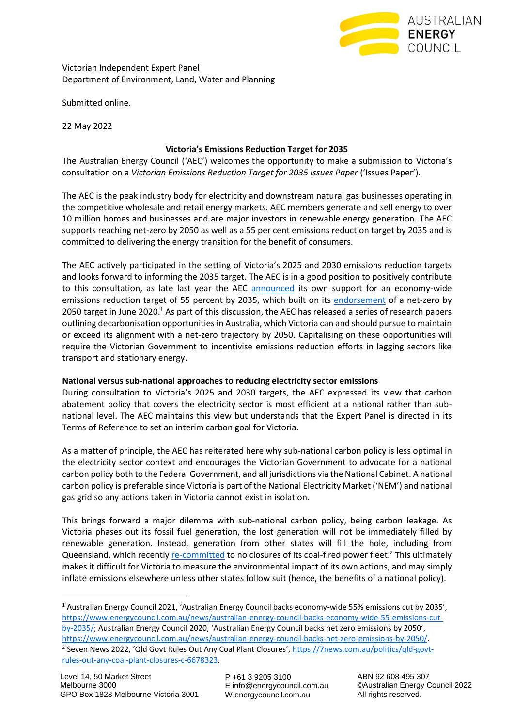

Victorian Independent Expert Panel Department of Environment, Land, Water and Planning

Submitted online.

22 May 2022

# **Victoria's Emissions Reduction Target for 2035**

The Australian Energy Council ('AEC') welcomes the opportunity to make a submission to Victoria's consultation on a *Victorian Emissions Reduction Target for 2035 Issues Paper* ('Issues Paper').

The AEC is the peak industry body for electricity and downstream natural gas businesses operating in the competitive wholesale and retail energy markets. AEC members generate and sell energy to over 10 million homes and businesses and are major investors in renewable energy generation. The AEC supports reaching net-zero by 2050 as well as a 55 per cent emissions reduction target by 2035 and is committed to delivering the energy transition for the benefit of consumers.

The AEC actively participated in the setting of Victoria's 2025 and 2030 emissions reduction targets and looks forward to informing the 2035 target. The AEC is in a good position to positively contribute to this consultation, as late last year the AEC [announced](https://www.energycouncil.com.au/news/australian-energy-council-backs-economy-wide-55-emissions-cut-by-2035/) its own support for an economy-wide emissions reduction target of 55 percent by 2035, which built on its [endorsement](https://www.energycouncil.com.au/news/australian-energy-council-backs-net-zero-emissions-by-2050/) of a net-zero by 2050 target in June 2020.<sup>1</sup> As part of this discussion, the AEC has released a series of research papers outlining decarbonisation opportunities in Australia, which Victoria can and should pursue to maintain or exceed its alignment with a net-zero trajectory by 2050. Capitalising on these opportunities will require the Victorian Government to incentivise emissions reduction efforts in lagging sectors like transport and stationary energy.

### **National versus sub-national approaches to reducing electricity sector emissions**

During consultation to Victoria's 2025 and 2030 targets, the AEC expressed its view that carbon abatement policy that covers the electricity sector is most efficient at a national rather than subnational level. The AEC maintains this view but understands that the Expert Panel is directed in its Terms of Reference to set an interim carbon goal for Victoria.

As a matter of principle, the AEC has reiterated here why sub-national carbon policy is less optimal in the electricity sector context and encourages the Victorian Government to advocate for a national carbon policy both to the Federal Government, and all jurisdictions via the National Cabinet. A national carbon policy is preferable since Victoria is part of the National Electricity Market ('NEM') and national gas grid so any actions taken in Victoria cannot exist in isolation.

This brings forward a major dilemma with sub-national carbon policy, being carbon leakage. As Victoria phases out its fossil fuel generation, the lost generation will not be immediately filled by renewable generation. Instead, generation from other states will fill the hole, including from Queensland, which recentl[y re-committed](https://7news.com.au/politics/qld-govt-rules-out-any-coal-plant-closures-c-6678323) to no closures of its coal-fired power fleet.<sup>2</sup> This ultimately makes it difficult for Victoria to measure the environmental impact of its own actions, and may simply inflate emissions elsewhere unless other states follow suit (hence, the benefits of a national policy).

<sup>1</sup> Australian Energy Council 2021, 'Australian Energy Council backs economy-wide 55% emissions cut by 2035', [https://www.energycouncil.com.au/news/australian-energy-council-backs-economy-wide-55-emissions-cut](https://www.energycouncil.com.au/news/australian-energy-council-backs-economy-wide-55-emissions-cut-by-2035/)[by-2035/](https://www.energycouncil.com.au/news/australian-energy-council-backs-economy-wide-55-emissions-cut-by-2035/); Australian Energy Council 2020, 'Australian Energy Council backs net zero emissions by 2050', [https://www.energycouncil.com.au/news/australian-energy-council-backs-net-zero-emissions-by-2050/.](https://www.energycouncil.com.au/news/australian-energy-council-backs-net-zero-emissions-by-2050/)

<sup>2</sup> Seven News 2022, 'Qld Govt Rules Out Any Coal Plant Closures', [https://7news.com.au/politics/qld-govt](https://7news.com.au/politics/qld-govt-rules-out-any-coal-plant-closures-c-6678323)[rules-out-any-coal-plant-closures-c-6678323.](https://7news.com.au/politics/qld-govt-rules-out-any-coal-plant-closures-c-6678323)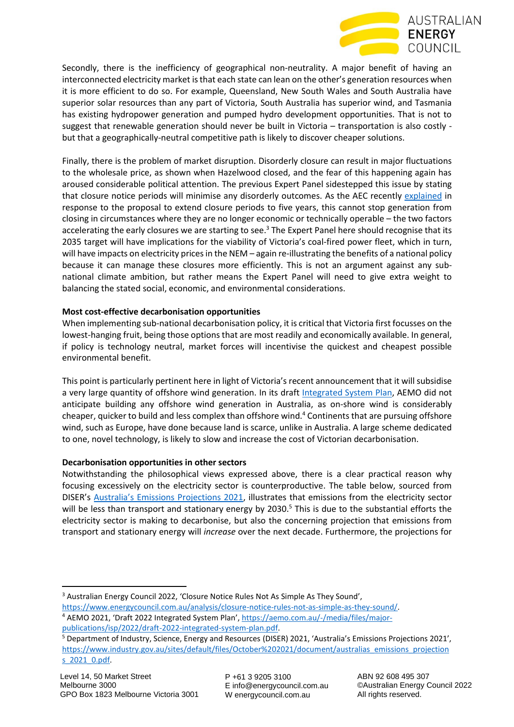

Secondly, there is the inefficiency of geographical non-neutrality. A major benefit of having an interconnected electricity market is that each state can lean on the other's generation resources when it is more efficient to do so. For example, Queensland, New South Wales and South Australia have superior solar resources than any part of Victoria, South Australia has superior wind, and Tasmania has existing hydropower generation and pumped hydro development opportunities. That is not to suggest that renewable generation should never be built in Victoria – transportation is also costly but that a geographically-neutral competitive path is likely to discover cheaper solutions.

Finally, there is the problem of market disruption. Disorderly closure can result in major fluctuations to the wholesale price, as shown when Hazelwood closed, and the fear of this happening again has aroused considerable political attention. The previous Expert Panel sidestepped this issue by stating that closure notice periods will minimise any disorderly outcomes. As the AEC recently [explained](https://www.energycouncil.com.au/analysis/closure-notice-rules-not-as-simple-as-they-sound/) in response to the proposal to extend closure periods to five years, this cannot stop generation from closing in circumstances where they are no longer economic or technically operable – the two factors accelerating the early closures we are starting to see.<sup>3</sup> The Expert Panel here should recognise that its 2035 target will have implications for the viability of Victoria's coal-fired power fleet, which in turn, will have impacts on electricity prices in the NEM – again re-illustrating the benefits of a national policy because it can manage these closures more efficiently. This is not an argument against any subnational climate ambition, but rather means the Expert Panel will need to give extra weight to balancing the stated social, economic, and environmental considerations.

### **Most cost-effective decarbonisation opportunities**

When implementing sub-national decarbonisation policy, it is critical that Victoria first focusses on the lowest-hanging fruit, being those options that are most readily and economically available. In general, if policy is technology neutral, market forces will incentivise the quickest and cheapest possible environmental benefit.

This point is particularly pertinent here in light of Victoria's recent announcement that it will subsidise a very large quantity of offshore wind generation. In its draf[t Integrated System Plan,](https://aemo.com.au/-/media/files/major-publications/isp/2022/draft-2022-integrated-system-plan.pdf) AEMO did not anticipate building any offshore wind generation in Australia, as on-shore wind is considerably cheaper, quicker to build and less complex than offshore wind.<sup>4</sup> Continents that are pursuing offshore wind, such as Europe, have done because land is scarce, unlike in Australia. A large scheme dedicated to one, novel technology, is likely to slow and increase the cost of Victorian decarbonisation.

# **Decarbonisation opportunities in other sectors**

Notwithstanding the philosophical views expressed above, there is a clear practical reason why focusing excessively on the electricity sector is counterproductive. The table below, sourced from DISER's [Australia's Emissions Proj](https://www.industry.gov.au/sites/default/files/October%202021/document/australias_emissions_projections_2021_0.pdf)ections 2021, illustrates that emissions from the electricity sector will be less than transport and stationary energy by 2030.<sup>5</sup> This is due to the substantial efforts the electricity sector is making to decarbonise, but also the concerning projection that emissions from transport and stationary energy will *increase* over the next decade. Furthermore, the projections for

P +61 3 9205 3100 E info@energycouncil.com.au W energycouncil.com.au

ABN 92 608 495 307 ©Australian Energy Council 2022 All rights reserved.

<sup>&</sup>lt;sup>3</sup> Australian Energy Council 2022, 'Closure Notice Rules Not As Simple As They Sound',

[https://www.energycouncil.com.au/analysis/closure-notice-rules-not-as-simple-as-they-sound/.](https://www.energycouncil.com.au/analysis/closure-notice-rules-not-as-simple-as-they-sound/) <sup>4</sup> AEMO 2021, 'Draft 2022 Integrated System Plan', [https://aemo.com.au/-/media/files/major-](https://aemo.com.au/-/media/files/major-publications/isp/2022/draft-2022-integrated-system-plan.pdf)

[publications/isp/2022/draft-2022-integrated-system-plan.pdf.](https://aemo.com.au/-/media/files/major-publications/isp/2022/draft-2022-integrated-system-plan.pdf)

<sup>5</sup> Department of Industry, Science, Energy and Resources (DISER) 2021, 'Australia's Emissions Projections 2021', [https://www.industry.gov.au/sites/default/files/October%202021/document/australias\\_emissions\\_projection](https://www.industry.gov.au/sites/default/files/October%202021/document/australias_emissions_projections_2021_0.pdf) [s\\_2021\\_0.pdf.](https://www.industry.gov.au/sites/default/files/October%202021/document/australias_emissions_projections_2021_0.pdf)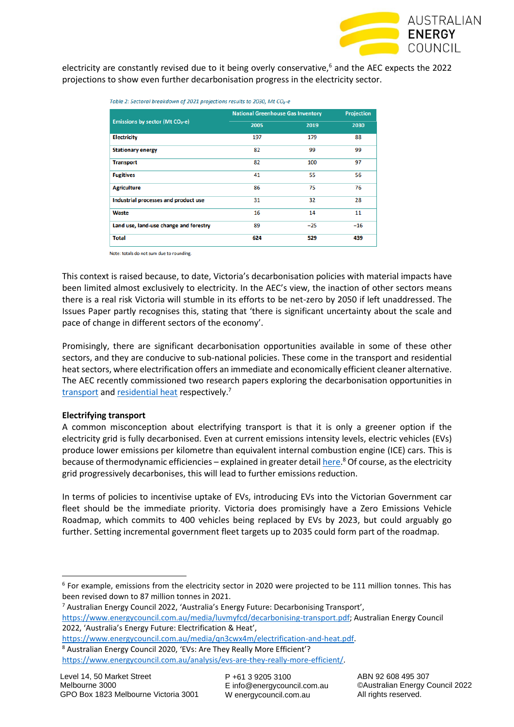

electricity are constantly revised due to it being overly conservative, $6$  and the AEC expects the 2022 projections to show even further decarbonisation progress in the electricity sector.

| <b>National Greenhouse Gas Inventory</b> |       | <b>Projection</b> |
|------------------------------------------|-------|-------------------|
| 2005                                     | 2019  | 2030              |
| 197                                      | 179   | 88                |
| 82                                       | 99    | 99                |
| 82                                       | 100   | 97                |
| 41                                       | 55    | 56                |
| 86                                       | 75    | 76                |
| 31                                       | 32    | 28                |
| 16                                       | 14    | 11                |
| 89                                       | $-25$ | $-16$             |
| 624                                      | 529   | 439               |
|                                          |       |                   |

Table 2: Sectoral breakdown of 2021 projections results to 2030, Mt CO<sub>2</sub>-e

Note: totals do not sum due to rounding.

This context is raised because, to date, Victoria's decarbonisation policies with material impacts have been limited almost exclusively to electricity. In the AEC's view, the inaction of other sectors means there is a real risk Victoria will stumble in its efforts to be net-zero by 2050 if left unaddressed. The Issues Paper partly recognises this, stating that 'there is significant uncertainty about the scale and pace of change in different sectors of the economy'.

Promisingly, there are significant decarbonisation opportunities available in some of these other sectors, and they are conducive to sub-national policies. These come in the transport and residential heat sectors, where electrification offers an immediate and economically efficient cleaner alternative. The AEC recently commissioned two research papers exploring the decarbonisation opportunities in [transport](https://www.energycouncil.com.au/media/luvmyfcd/decarbonising-transport.pdf) and [residential](https://www.energycouncil.com.au/media/qn3cwx4m/electrification-and-heat.pdf?pdfurl=https%3A%2F%2Fwww.energycouncil.com.au%2Fmedia%2Fqn3cwx4m%2Felectrification-and-heat.pdf&clen=2767784&chunk=true) heat respectively.<sup>7</sup>

#### **Electrifying transport**

A common misconception about electrifying transport is that it is only a greener option if the electricity grid is fully decarbonised. Even at current emissions intensity levels, electric vehicles (EVs) produce lower emissions per kilometre than equivalent internal combustion engine (ICE) cars. This is because of thermodynamic efficiencies – explained in greater detail **here.<sup>8</sup> Of course**, as the electricity grid progressively decarbonises, this will lead to further emissions reduction.

In terms of policies to incentivise uptake of EVs, introducing EVs into the Victorian Government car fleet should be the immediate priority. Victoria does promisingly have a Zero Emissions Vehicle Roadmap, which commits to 400 vehicles being replaced by EVs by 2023, but could arguably go further. Setting incremental government fleet targets up to 2035 could form part of the roadmap.

<sup>7</sup> Australian Energy Council 2022, 'Australia's Energy Future: Decarbonising Transport', [https://www.energycouncil.com.au/media/luvmyfcd/decarbonising-transport.pdf;](https://www.energycouncil.com.au/media/luvmyfcd/decarbonising-transport.pdf) Australian Energy Council 2022, 'Australia's Energy Future: Electrification & Heat',

[https://www.energycouncil.com.au/media/qn3cwx4m/electrification-and-heat.pdf.](https://www.energycouncil.com.au/media/qn3cwx4m/electrification-and-heat.pdf) <sup>8</sup> Australian Energy Council 2020, 'EVs: Are They Really More Efficient'? [https://www.energycouncil.com.au/analysis/evs-are-they-really-more-efficient/.](https://www.energycouncil.com.au/analysis/evs-are-they-really-more-efficient/)

<sup>6</sup> For example, emissions from the electricity sector in 2020 were projected to be 111 million tonnes. This has been revised down to 87 million tonnes in 2021.